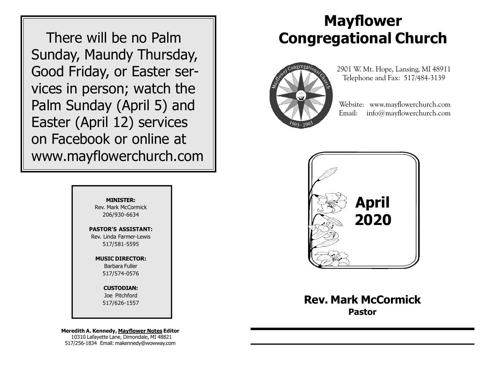There will be no Palm Sunday, Maundy Thursday, Good Friday, or Easter services in person; watch the Palm Sunday (April 5) and Easter (April 12) services on Facebook or online at www.mayflowerchurch.com

# Mayflower Congregational Church



 2901 W. Mt. Hope, Lansing, MI 48911 Telephone and Fax: 517/484-3139

 Website: www.mayflowerchurch.com Email: info@mayflowerchurch.com



Rev. Mark McCormick Pastor

MINISTER: Rev. Mark McCormick 206/930-6634

PASTOR'S ASSISTANT: Rev. Linda Farmer-Lewis 517/581-5595

> MUSIC DIRECTOR: Barbara Fuller 517/574-0576

> > CUSTODIAN: Joe Pitchford 517/626-1557

Meredith A. Kennedy, Mayflower Notes Editor 10310 Lafayette Lane, Dimondale, MI 48821 517/256-1834 Email: makennedy@wowway.com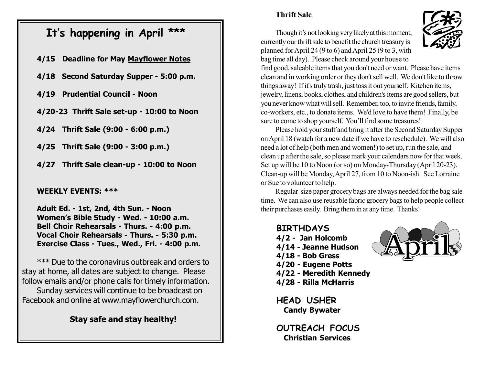# It's happening in April \*\*\*

- 4/15 Deadline for May Mayflower Notes
- 4/18 Second Saturday Supper 5:00 p.m.
- 4/19 Prudential Council Noon
- 4/20-23 Thrift Sale set-up 10:00 to Noon
- 4/24 Thrift Sale (9:00 6:00 p.m.)
- 4/25 Thrift Sale (9:00 3:00 p.m.)
- 4/27 Thrift Sale clean-up 10:00 to Noon

### WEEKLY EVENTS: \*\*\*

Adult Ed. - 1st, 2nd, 4th Sun. - Noon Women's Bible Study - Wed. - 10:00 a.m. Bell Choir Rehearsals - Thurs. - 4:00 p.m. Vocal Choir Rehearsals - Thurs. - 5:30 p.m. Exercise Class - Tues., Wed., Fri. - 4:00 p.m.

\*\*\* Due to the coronavirus outbreak and orders to stay at home, all dates are subject to change. Please follow emails and/or phone calls for timely information.

Sunday services will continue to be broadcast on Facebook and online at www.mayflowerchurch.com.

### Stay safe and stay healthy!

### Thrift Sale

Though it's not looking very likely at this moment, currently our thrift sale to benefit the church treasury is planned for April 24 (9 to 6) and April 25 (9 to 3, with bag time all day). Please check around your house to



find good, saleable items that you don't need or want. Please have items clean and in working order or they don't sell well. We don't like to throw things away! If it's truly trash, just toss it out yourself. Kitchen items, jewelry, linens, books, clothes, and children's items are good sellers, but you never know what will sell. Remember, too, to invite friends, family, co-workers, etc., to donate items. We'd love to have them! Finally, be sure to come to shop yourself. You'll find some treasures!

Please hold your stuff and bring it after the Second Saturday Supper on April 18 (watch for a new date if we have to reschedule). We will also need a lot of help (both men and women!) to set up, run the sale, and clean up after the sale, so please mark your calendars now for that week. Set up will be 10 to Noon (or so) on Monday-Thursday (April 20-23). Clean-up will be Monday, April 27, from 10 to Noon-ish. See Lorraine or Sue to volunteer to help.

Regular-size paper grocery bags are always needed for the bag sale time. We can also use reusable fabric grocery bags to help people collect their purchases easily. Bring them in at any time. Thanks!

### BIRTHDAYS

- 4/2 Jan Holcomb
- 4/14 Jeanne Hudson
- 4/18 Bob Gress
- 4/20 Eugene Potts
- 4/22 Meredith Kennedy
- 4/28 Rilla McHarris

**HEAD USHER** Candy Bywater

OUTREACH FOCUS Christian Services

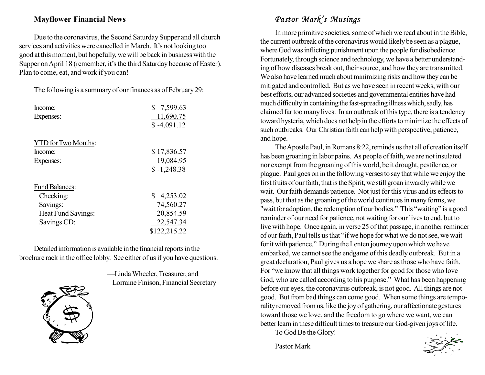### Mayflower Financial News

Due to the coronavirus, the Second Saturday Supper and all church services and activities were cancelled in March. It's not looking too good at this moment, but hopefully, we will be back in business with the Supper on April 18 (remember, it's the third Saturday because of Easter). Plan to come, eat, and work if you can!

The following is a summary of our finances as of February 29:

| Income:                    | \$7,599.63    |
|----------------------------|---------------|
| Expenses:                  | 11,690.75     |
|                            | $$-4,091.12$  |
| <b>YTD</b> for Two Months: |               |
| Income:                    | \$17,836.57   |
| Expenses:                  | 19,084.95     |
|                            | $$ -1,248.38$ |
| <b>Fund Balances:</b>      |               |
| Checking:                  | \$4,253.02    |
| Savings:                   | 74,560.27     |
| Heat Fund Savings:         | 20,854.59     |
| Savings CD:                | 22,547.34     |
|                            | \$122,215.22  |

Detailed information is available in the financial reports in the brochure rack in the office lobby. See either of us if you have questions.



—Linda Wheeler, Treasurer, and Lorraine Finison, Financial Secretary

# Pastor Mark's Musings

In more primitive societies, some of which we read about in the Bible, the current outbreak of the coronavirus would likely be seen as a plague, where God was inflicting punishment upon the people for disobedience. Fortunately, through science and technology, we have a better understanding of how diseases break out, their source, and how they are transmitted. We also have learned much about minimizing risks and how they can be mitigated and controlled. But as we have seen in recent weeks, with our best efforts, our advanced societies and governmental entities have had much difficulty in containing the fast-spreading illness which, sadly, has claimed far too many lives. In an outbreak of this type, there is a tendency toward hysteria, which does not help in the efforts to minimize the effects of such outbreaks. Our Christian faith can help with perspective, patience, and hope.

The Apostle Paul, in Romans 8:22, reminds us that all of creation itself has been groaning in labor pains. As people of faith, we are not insulated nor exempt from the groaning of this world, be it drought, pestilence, or plague. Paul goes on in the following verses to say that while we enjoy the first fruits of our faith, that is the Spirit, we still groan inwardly while we wait. Our faith demands patience. Not just for this virus and its effects to pass, but that as the groaning of the world continues in many forms, we "wait for adoption, the redemption of our bodies." This "waiting" is a good reminder of our need for patience, not waiting for our lives to end, but to live with hope. Once again, in verse 25 of that passage, in another reminder of our faith, Paul tells us that "if we hope for what we do not see, we wait for it with patience." During the Lenten journey upon which we have embarked, we cannot see the endgame of this deadly outbreak. But in a great declaration, Paul gives us a hope we share as those who have faith. For "we know that all things work together for good for those who love God, who are called according to his purpose." What has been happening before our eyes, the coronavirus outbreak, is not good. All things are not good. But from bad things can come good. When some things are temporality removed from us, like the joy of gathering, our affectionate gestures toward those we love, and the freedom to go where we want, we can better learn in these difficult times to treasure our God-given joys of life.

To God Be the Glory!

Pastor Mark